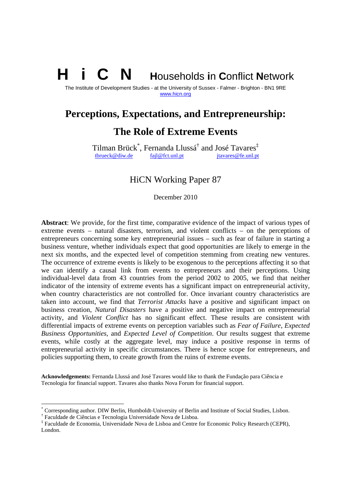# **N** Households in Conflict Network

The Institute of Development Studies - at the University of Sussex - Falmer - Brighton - BN1 9RE www.hicn.org

# **Perceptions, Expectations, and Entrepreneurship:**

# **The Role of Extreme Events**

Tilman Brück\* , Fernanda Llussá† and José Tavares‡ tbrueck@diw.de fajl@fct.unl.pt jtavares@fe.unl.pt

### HiCN Working Paper 87

December 2010

**Abstract**: We provide, for the first time, comparative evidence of the impact of various types of extreme events – natural disasters, terrorism, and violent conflicts – on the perceptions of entrepreneurs concerning some key entrepreneurial issues – such as fear of failure in starting a business venture, whether individuals expect that good opportunities are likely to emerge in the next six months, and the expected level of competition stemming from creating new ventures. The occurrence of extreme events is likely to be exogenous to the perceptions affecting it so that we can identify a causal link from events to entrepreneurs and their perceptions. Using individual-level data from 43 countries from the period 2002 to 2005, we find that neither indicator of the intensity of extreme events has a significant impact on entrepreneurial activity, when country characteristics are not controlled for. Once invariant country characteristics are taken into account, we find that *Terrorist Attacks* have a positive and significant impact on business creation, *Natural Disasters* have a positive and negative impact on entrepreneurial activity, and *Violent Conflict* has no significant effect. These results are consistent with differential impacts of extreme events on perception variables such as *Fear of Failure*, *Expected Business Opportunities*, and *Expected Level of Competition*. Our results suggest that extreme events, while costly at the aggregate level, may induce a positive response in terms of entrepreneurial activity in specific circumstances. There is hence scope for entrepreneurs, and policies supporting them, to create growth from the ruins of extreme events.

**Acknowledgements:** Fernanda Llussá and José Tavares would like to thank the Fundação para Ciência e Tecnologia for financial support. Tavares also thanks Nova Forum for financial support.

-

<sup>\*</sup> Corresponding author. DIW Berlin, Humboldt-University of Berlin and Institute of Social Studies, Lisbon.

<sup>†</sup> Faculdade de Ciências e Tecnologia Universidade Nova de Lisboa.

<sup>‡</sup> Faculdade de Economia, Universidade Nova de Lisboa and Centre for Economic Policy Research (CEPR), London.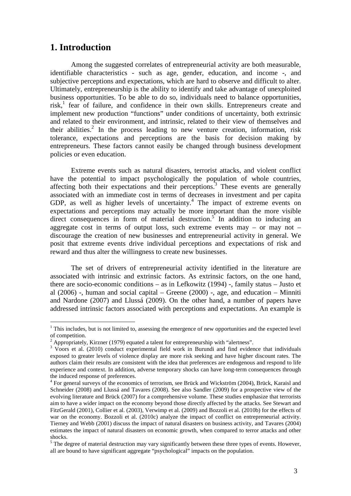### **1. Introduction**

 $\overline{a}$ 

Among the suggested correlates of entrepreneurial activity are both measurable, identifiable characteristics - such as age, gender, education, and income -, and subjective perceptions and expectations, which are hard to observe and difficult to alter. Ultimately, entrepreneurship is the ability to identify and take advantage of unexploited business opportunities. To be able to do so, individuals need to balance opportunities, risk,<sup>1</sup> fear of failure, and confidence in their own skills. Entrepreneurs create and implement new production "functions" under conditions of uncertainty, both extrinsic and related to their environment, and intrinsic, related to their view of themselves and their abilities.<sup>2</sup> In the process leading to new venture creation, information, risk tolerance, expectations and perceptions are the basis for decision making by entrepreneurs. These factors cannot easily be changed through business development policies or even education.

Extreme events such as natural disasters, terrorist attacks, and violent conflict have the potential to impact psychologically the population of whole countries, affecting both their expectations and their perceptions.<sup>3</sup> These events are generally associated with an immediate cost in terms of decreases in investment and per capita GDP, as well as higher levels of uncertainty. $4$  The impact of extreme events on expectations and perceptions may actually be more important than the more visible direct consequences in form of material destruction.<sup>5</sup> In addition to inducing an aggregate cost in terms of output loss, such extreme events may – or may not – discourage the creation of new businesses and entrepreneurial activity in general. We posit that extreme events drive individual perceptions and expectations of risk and reward and thus alter the willingness to create new businesses.

The set of drivers of entrepreneurial activity identified in the literature are associated with intrinsic and extrinsic factors. As extrinsic factors, on the one hand, there are socio-economic conditions – as in Lefkowitz (1994) -, family status – Justo et al  $(2006)$  -, human and social capital – Greene  $(2000)$  -, age, and education – Minniti and Nardone (2007) and Llussá (2009). On the other hand, a number of papers have addressed intrinsic factors associated with perceptions and expectations. An example is

 $1$ <sup>1</sup> This includes, but is not limited to, assessing the emergence of new opportunities and the expected level of competition.

<sup>&</sup>lt;sup>2</sup> Appropriately, Kirzner (1979) equated a talent for entrepreneurship with "alertness".

<sup>&</sup>lt;sup>3</sup> Voors et al. (2010) conduct experimental field work in Burundi and find evidence that individuals exposed to greater levels of violence display are more risk seeking and have higher discount rates. The authors claim their results are consistent with the idea that preferences are endogenous and respond to life experience and context. In addition, adverse temporary shocks can have long-term consequences through the induced response of preferences.

<sup>&</sup>lt;sup>4</sup> For general surveys of the economics of terrorism, see Brück and Wickström (2004), Brück, Karaisl and Schneider (2008) and Llussá and Tavares (2008). See also Sandler (2009) for a prospective view of the evolving literature and Brück (2007) for a comprehensive volume. These studies emphasize that terrorists aim to have a wider impact on the economy beyond those directly affected by the attacks. See Stewart and FitzGerald (2001), Collier et al. (2003), Verwimp et al. (2009) and Bozzoli et al. (2010b) for the effects of war on the economy. Bozzoli et al. (2010c) analyze the impact of conflict on entrepreneurial activity. Tierney and Webb (2001) discuss the impact of natural disasters on business activity, and Tavares (2004) estimates the impact of natural disasters on economic growth, when compared to terror attacks and other shocks.

 $<sup>5</sup>$  The degree of material destruction may vary significantly between these three types of events. However,</sup> all are bound to have significant aggregate "psychological" impacts on the population.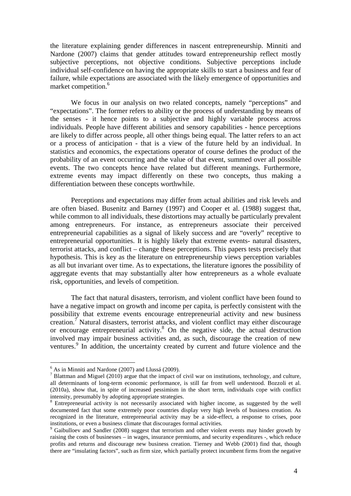the literature explaining gender differences in nascent entrepreneurship. Minniti and Nardone (2007) claims that gender attitudes toward entrepreneurship reflect mostly subjective perceptions, not objective conditions. Subjective perceptions include individual self-confidence on having the appropriate skills to start a business and fear of failure, while expectations are associated with the likely emergence of opportunities and market competition.<sup>6</sup>

We focus in our analysis on two related concepts, namely "perceptions" and "expectations". The former refers to ability or the process of understanding by means of the senses - it hence points to a subjective and highly variable process across individuals. People have different abilities and sensory capabilities - hence perceptions are likely to differ across people, all other things being equal. The latter refers to an act or a process of anticipation - that is a view of the future held by an individual. In statistics and economics, the expectations operator of course defines the product of the probability of an event occurring and the value of that event, summed over all possible events. The two concepts hence have related but different meanings. Furthermore, extreme events may impact differently on these two concepts, thus making a differentiation between these concepts worthwhile.

Perceptions and expectations may differ from actual abilities and risk levels and are often biased. Busenitz and Barney (1997) and Cooper et al. (1988) suggest that, while common to all individuals, these distortions may actually be particularly prevalent among entrepreneurs. For instance, as entrepreneurs associate their perceived entrepreneurial capabilities as a signal of likely success and are "overly" receptive to entrepreneurial opportunities. It is highly likely that extreme events- natural disasters, terrorist attacks, and conflict – change these perceptions. This papers tests precisely that hypothesis. This is key as the literature on entrepreneurship views perception variables as all but invariant over time. As to expectations, the literature ignores the possibility of aggregate events that may substantially alter how entrepreneurs as a whole evaluate risk, opportunities, and levels of competition.

The fact that natural disasters, terrorism, and violent conflict have been found to have a negative impact on growth and income per capita, is perfectly consistent with the possibility that extreme events encourage entrepreneurial activity and new business creation.<sup>7</sup> Natural disasters, terrorist attacks, and violent conflict may either discourage or encourage entrepreneurial activity.<sup>8</sup> On the negative side, the actual destruction involved may impair business activities and, as such, discourage the creation of new ventures.<sup>9</sup> In addition, the uncertainty created by current and future violence and the

 $\overline{a}$ 

<sup>&</sup>lt;sup>6</sup> As in Minniti and Nardone (2007) and Llussá (2009).

 $<sup>7</sup>$  Blattman and Miguel (2010) argue that the impact of civil war on institutions, technology, and culture,</sup> all determinants of long-term economic performance, is still far from well understood. Bozzoli et al. (2010a), show that, in spite of increased pessimism in the short term, individuals cope with conflict intensity, presumably by adopting appropriate strategies.

<sup>&</sup>lt;sup>8</sup> Entrepreneurial activity is not necessarily associated with higher income, as suggested by the well documented fact that some extremely poor countries display very high levels of business creation. As recognized in the literature, entrepreneurial activity may be a side-effect, a response to crises, poor institutions, or even a business climate that discourages formal activities.

<sup>&</sup>lt;sup>9</sup> Gaibulloev and Sandler (2008) suggest that terrorism and other violent events may hinder growth by raising the costs of businesses – in wages, insurance premiums, and security expenditures -, which reduce profits and returns and discourage new business creation. Tierney and Webb (2001) find that, though there are "insulating factors", such as firm size, which partially protect incumbent firms from the negative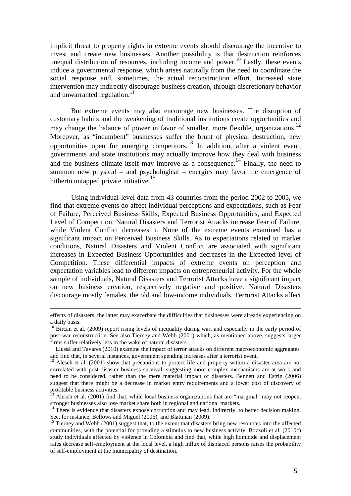implicit threat to property rights in extreme events should discourage the incentive to invest and create new businesses. Another possibility is that destruction reinforces unequal distribution of resources, including income and power.<sup>10</sup> Lastly, these events induce a governmental response, which arises naturally from the need to coordinate the social response and, sometimes, the actual reconstruction effort. Increased state intervention may indirectly discourage business creation, through discretionary behavior and unwarranted regulation. $11$ 

But extreme events may also encourage new businesses. The disruption of customary habits and the weakening of traditional institutions create opportunities and may change the balance of power in favor of smaller, more flexible, organizations.<sup>12</sup> Moreover, as "incumbent" businesses suffer the brunt of physical destruction, new opportunities open for emerging competitors.<sup>13</sup> In addition, after a violent event, governments and state institutions may actually improve how they deal with business and the business climate itself may improve as a consequence.<sup>14</sup> Finally, the need to summon new physical – and psychological – energies may favor the emergence of hitherto untapped private initiative.<sup>15</sup>

Using individual-level data from 43 countries from the period 2002 to 2005, we find that extreme events do affect individual perceptions and expectations, such as Fear of Failure, Perceived Business Skills, Expected Business Opportunities, and Expected Level of Competition. Natural Disasters and Terrorist Attacks increase Fear of Failure, while Violent Conflict decreases it. None of the extreme events examined has a significant impact on Perceived Business Skills. As to expectations related to market conditions, Natural Disasters and Violent Conflict are associated with significant increases in Expected Business Opportunities and decreases in the Expected level of Competition. These differential impacts of extreme events on perception and expectation variables lead to different impacts on entrepreneurial activity. For the whole sample of individuals, Natural Disasters and Terrorist Attacks have a significant impact on new business creation, respectively negative and positive. Natural Disasters discourage mostly females, the old and low-income individuals. Terrorist Attacks affect

<u>.</u>

effects of disasters, the latter may exacerbate the difficulties that businesses were already experiencing on a daily basis.

<sup>&</sup>lt;sup>10</sup> Bircan et al. (2009) report rising levels of inequality during war, and especially in the early period of post-war reconstruction. See also Tierney and Webb (2001) which, as mentioned above, suggests larger firms suffer relatively less in the wake of natural disasters.

<sup>&</sup>lt;sup>11</sup> Llussá and Tavares (2010) examine the impact of terror attacks on different macroeconomic aggregates and find that, in several instances, government spending increases after a terrorist event.

 $12$  Alesch et al. (2001) show that precautions to protect life and property within a disaster area are not correlated with post-disaster business survival, suggesting more complex mechanisms are at work and need to be considered, rather than the mere material impact of disasters. Bennett and Estrin (2006) suggest that there might be a decrease in market entry requirements and a lower cost of discovery of profitable business activities.

Alesch et al. (2001) find that, while local business organizations that are "marginal" may not reopen, stronger businesses also lose market share both in regional and national markets.

 $14$  There is evidence that disasters expose corruption and may lead, indirectly, to better decision making. See, for instance, Bellows and Miguel (2006), and Blattman (2009).

<sup>&</sup>lt;sup>15</sup> Tierney and Webb (2001) suggest that, to the extent that disasters bring new resources into the affected communities, with the potential for providing a stimulus to new business activity. Bozzoli et al. (2010c) study individuals affected by violence in Colombia and find that, while high homicide and displacement rates decrease self-employment at the local level, a high influx of displaced persons raises the probability of self-employment at the municipality of destination.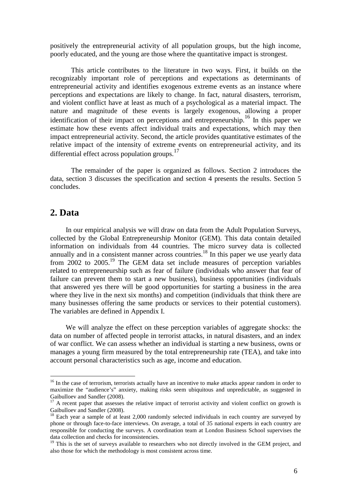positively the entrepreneurial activity of all population groups, but the high income, poorly educated, and the young are those where the quantitative impact is strongest.

This article contributes to the literature in two ways. First, it builds on the recognizably important role of perceptions and expectations as determinants of entrepreneurial activity and identifies exogenous extreme events as an instance where perceptions and expectations are likely to change. In fact, natural disasters, terrorism, and violent conflict have at least as much of a psychological as a material impact. The nature and magnitude of these events is largely exogenous, allowing a proper identification of their impact on perceptions and entrepreneurship.<sup>16</sup> In this paper we estimate how these events affect individual traits and expectations, which may then impact entrepreneurial activity. Second, the article provides quantitative estimates of the relative impact of the intensity of extreme events on entrepreneurial activity, and its differential effect across population groups.<sup>17</sup>

The remainder of the paper is organized as follows. Section 2 introduces the data, section 3 discusses the specification and section 4 presents the results. Section 5 concludes.

### **2. Data**

 $\overline{a}$ 

In our empirical analysis we will draw on data from the Adult Population Surveys, collected by the Global Entrepreneurship Monitor (GEM). This data contain detailed information on individuals from 44 countries. The micro survey data is collected annually and in a consistent manner across countries.<sup>18</sup> In this paper we use yearly data from 2002 to 2005.<sup>19</sup> The GEM data set include measures of perception variables related to entrepreneurship such as fear of failure (individuals who answer that fear of failure can prevent them to start a new business), business opportunities (individuals that answered yes there will be good opportunities for starting a business in the area where they live in the next six months) and competition (individuals that think there are many businesses offering the same products or services to their potential customers). The variables are defined in Appendix I.

We will analyze the effect on these perception variables of aggregate shocks: the data on number of affected people in terrorist attacks, in natural disasters, and an index of war conflict. We can assess whether an individual is starting a new business, owns or manages a young firm measured by the total entrepreneurship rate (TEA), and take into account personal characteristics such as age, income and education.

<sup>&</sup>lt;sup>16</sup> In the case of terrorism, terrorists actually have an incentive to make attacks appear random in order to maximize the "audience's" anxiety, making risks seem ubiquitous and unpredictable, as suggested in Gaibulloev and Sandler (2008).

<sup>&</sup>lt;sup>17</sup> A recent paper that assesses the relative impact of terrorist activity and violent conflict on growth is Gaibulloev and Sandler (2008).

 $18$  Each year a sample of at least 2,000 randomly selected individuals in each country are surveyed by phone or through face-to-face interviews. On average, a total of 35 national experts in each country are responsible for conducting the surveys. A coordination team at London Business School supervises the data collection and checks for inconsistencies.

<sup>&</sup>lt;sup>19</sup> This is the set of surveys available to researchers who not directly involved in the GEM project, and also those for which the methodology is most consistent across time.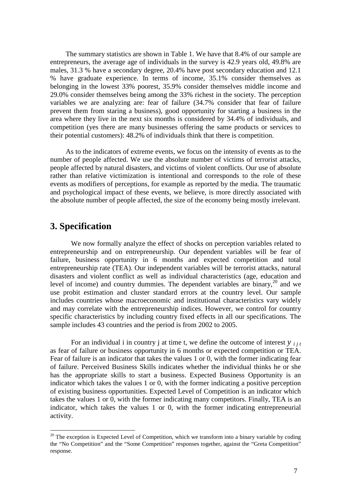The summary statistics are shown in Table 1. We have that 8.4% of our sample are entrepreneurs, the average age of individuals in the survey is 42.9 years old, 49.8% are males, 31.3 % have a secondary degree, 20.4% have post secondary education and 12.1 % have graduate experience. In terms of income, 35.1% consider themselves as belonging in the lowest 33% poorest, 35.9% consider themselves middle income and 29.0% consider themselves being among the 33% richest in the society. The perception variables we are analyzing are: fear of failure (34.7% consider that fear of failure prevent them from staring a business), good opportunity for starting a business in the area where they live in the next six months is considered by 34.4% of individuals, and competition (yes there are many businesses offering the same products or services to their potential customers): 48.2% of individuals think that there is competition.

As to the indicators of extreme events, we focus on the intensity of events as to the number of people affected. We use the absolute number of victims of terrorist attacks, people affected by natural disasters, and victims of violent conflicts. Our use of absolute rather than relative victimization is intentional and corresponds to the role of these events as modifiers of perceptions, for example as reported by the media. The traumatic and psychological impact of these events, we believe, is more directly associated with the absolute number of people affected, the size of the economy being mostly irrelevant.

### **3. Specification**

 $\overline{a}$ 

We now formally analyze the effect of shocks on perception variables related to entrepreneurship and on entrepreneurship. Our dependent variables will be fear of failure, business opportunity in 6 months and expected competition and total entrepreneurship rate (TEA). Our independent variables will be terrorist attacks, natural disasters and violent conflict as well as individual characteristics (age, education and level of income) and country dummies. The dependent variables are binary,  $20^{\circ}$  and we use probit estimation and cluster standard errors at the country level. Our sample includes countries whose macroeconomic and institutional characteristics vary widely and may correlate with the entrepreneurship indices. However, we control for country specific characteristics by including country fixed effects in all our specifications. The sample includes 43 countries and the period is from 2002 to 2005.

For an individual i in country j at time t, we define the outcome of interest  $y_{i}$   $_{i}$ as fear of failure or business opportunity in 6 months or expected competition or TEA. Fear of failure is an indicator that takes the values 1 or 0, with the former indicating fear of failure. Perceived Business Skills indicates whether the individual thinks he or she has the appropriate skills to start a business. Expected Business Opportunity is an indicator which takes the values 1 or 0, with the former indicating a positive perception of existing business opportunities. Expected Level of Competition is an indicator which takes the values 1 or 0, with the former indicating many competitors. Finally, TEA is an indicator, which takes the values 1 or 0, with the former indicating entrepreneurial activity.

 $20$  The exception is Expected Level of Competition, which we transform into a binary variable by coding the "No Competition" and the "Some Competition" responses together, against the "Greta Competition" response.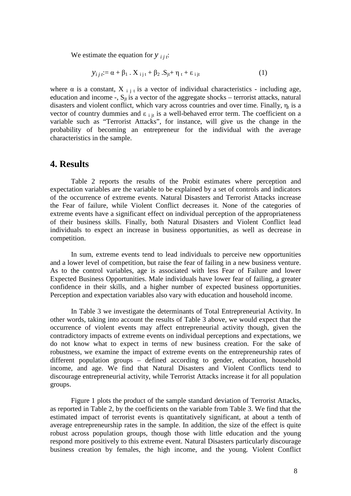We estimate the equation for  $y_{i}$  *i i i*:

$$
y_{ij} := \alpha + \beta_1 \cdot X_{ijt} + \beta_2 \cdot S_{jt} + \eta_t + \varepsilon_{ijt}
$$
 (1)

where  $\alpha$  is a constant, X  $_{i}$  i is a vector of individual characteristics - including age, education and income -,  $S_{it}$  is a vector of the aggregate shocks – terrorist attacks, natural disasters and violent conflict, which vary across countries and over time. Finally,  $\eta_t$  is a vector of country dummies and  $\varepsilon_{i}$  it is a well-behaved error term. The coefficient on a variable such as "Terrorist Attacks", for instance, will give us the change in the probability of becoming an entrepreneur for the individual with the average characteristics in the sample.

### **4. Results**

 Table 2 reports the results of the Probit estimates where perception and expectation variables are the variable to be explained by a set of controls and indicators of the occurrence of extreme events. Natural Disasters and Terrorist Attacks increase the Fear of failure, while Violent Conflict decreases it. None of the categories of extreme events have a significant effect on individual perception of the appropriateness of their business skills. Finally, both Natural Disasters and Violent Conflict lead individuals to expect an increase in business opportunities, as well as decrease in competition.

 In sum, extreme events tend to lead individuals to perceive new opportunities and a lower level of competition, but raise the fear of failing in a new business venture. As to the control variables, age is associated with less Fear of Failure and lower Expected Business Opportunities. Male individuals have lower fear of failing, a greater confidence in their skills, and a higher number of expected business opportunities. Perception and expectation variables also vary with education and household income.

In Table 3 we investigate the determinants of Total Entrepreneurial Activity. In other words, taking into account the results of Table 3 above, we would expect that the occurrence of violent events may affect entrepreneurial activity though, given the contradictory impacts of extreme events on individual perceptions and expectations, we do not know what to expect in terms of new business creation. For the sake of robustness, we examine the impact of extreme events on the entrepreneurship rates of different population groups – defined according to gender, education, household income, and age. We find that Natural Disasters and Violent Conflicts tend to discourage entrepreneurial activity, while Terrorist Attacks increase it for all population groups.

Figure 1 plots the product of the sample standard deviation of Terrorist Attacks, as reported in Table 2, by the coefficients on the variable from Table 3. We find that the estimated impact of terrorist events is quantitatively significant, at about a tenth of average entrepreneurship rates in the sample. In addition, the size of the effect is quite robust across population groups, though those with little education and the young respond more positively to this extreme event. Natural Disasters particularly discourage business creation by females, the high income, and the young. Violent Conflict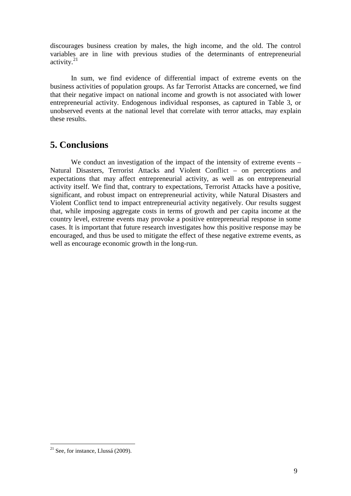discourages business creation by males, the high income, and the old. The control variables are in line with previous studies of the determinants of entrepreneurial activity. $21$ 

In sum, we find evidence of differential impact of extreme events on the business activities of population groups. As far Terrorist Attacks are concerned, we find that their negative impact on national income and growth is not associated with lower entrepreneurial activity. Endogenous individual responses, as captured in Table 3, or unobserved events at the national level that correlate with terror attacks, may explain these results.

# **5. Conclusions**

We conduct an investigation of the impact of the intensity of extreme events – Natural Disasters, Terrorist Attacks and Violent Conflict – on perceptions and expectations that may affect entrepreneurial activity, as well as on entrepreneurial activity itself. We find that, contrary to expectations, Terrorist Attacks have a positive, significant, and robust impact on entrepreneurial activity, while Natural Disasters and Violent Conflict tend to impact entrepreneurial activity negatively. Our results suggest that, while imposing aggregate costs in terms of growth and per capita income at the country level, extreme events may provoke a positive entrepreneurial response in some cases. It is important that future research investigates how this positive response may be encouraged, and thus be used to mitigate the effect of these negative extreme events, as well as encourage economic growth in the long-run.

 $\overline{a}$ 

 $21$  See, for instance, Llussá (2009).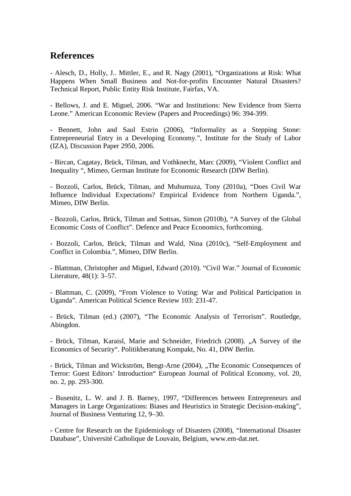### **References**

- Alesch, D., Holly, J.. Mittler, E., and R. Nagy (2001), "Organizations at Risk: What Happens When Small Business and Not-for-profits Encounter Natural Disasters? Technical Report, Public Entity Risk Institute, Fairfax, VA.

- Bellows, J. and E. Miguel, 2006. "War and Institutions: New Evidence from Sierra Leone." American Economic Review (Papers and Proceedings) 96: 394-399.

- Bennett, John and Saul Estrin (2006), "Informality as a Stepping Stone: Entrepreneurial Entry in a Developing Economy.", Institute for the Study of Labor (IZA), Discussion Paper 2950, 2006.

- Bircan, Cagatay, Brück, Tilman, and Vothknecht, Marc (2009), "Violent Conflict and Inequality ", Mimeo, German Institute for Economic Research (DIW Berlin).

- Bozzoli, Carlos, Brück, Tilman, and Muhumuza, Tony (2010a), "Does Civil War Influence Individual Expectations? Empirical Evidence from Northern Uganda.", Mimeo, DIW Berlin.

- Bozzoli, Carlos, Brück, Tilman and Sottsas, Simon (2010b), "A Survey of the Global Economic Costs of Conflict". Defence and Peace Economics, forthcoming.

- Bozzoli, Carlos, Brück, Tilman and Wald, Nina (2010c), "Self-Employment and Conflict in Colombia.", Mimeo, DIW Berlin.

- Blattman, Christopher and Miguel, Edward (2010). "Civil War." Journal of Economic Literature, 48(1): 3–57.

- Blattman, C. (2009), "From Violence to Voting: War and Political Participation in Uganda". American Political Science Review 103: 231-47.

- Brück, Tilman (ed.) (2007), "The Economic Analysis of Terrorism". Routledge, Abingdon.

- Brück, Tilman, Karaisl, Marie and Schneider, Friedrich (2008). "A Survey of the Economics of Security". Politikberatung Kompakt, No. 41, DIW Berlin.

- Brück, Tilman and Wickström, Bengt-Arne (2004), "The Economic Consequences of Terror: Guest Editors' Introduction" European Journal of Political Economy, vol. 20, no. 2, pp. 293-300.

- Busenitz, L. W. and J. B. Barney, 1997, "Differences between Entrepreneurs and Managers in Large Organizations: Biases and Heuristics in Strategic Decision-making", Journal of Business Venturing 12, 9–30.

**-** Centre for Research on the Epidemiology of Disasters (2008), "International Disaster Database", Université Catholique de Louvain, Belgium, www.em-dat.net.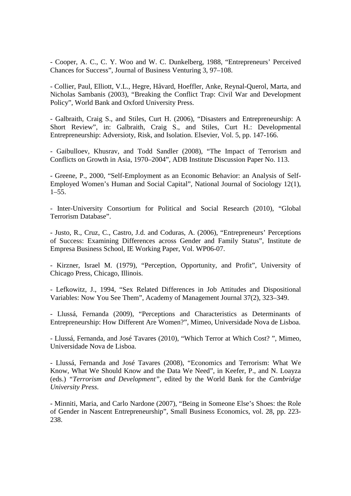- Cooper, A. C., C. Y. Woo and W. C. Dunkelberg, 1988, "Entrepreneurs' Perceived Chances for Success", Journal of Business Venturing 3, 97–108.

- Collier, Paul, Elliott, V.L., Hegre, Håvard, Hoeffler, Anke, Reynal-Querol, Marta, and Nicholas Sambanis (2003), "Breaking the Conflict Trap: Civil War and Development Policy", World Bank and Oxford University Press.

- Galbraith, Craig S., and Stiles, Curt H. (2006), "Disasters and Entrepreneurship: A Short Review", in: Galbraith, Craig S., and Stiles, Curt H.: Developmental Entrepreneurship: Adversioty, Risk, and Isolation. Elsevier, Vol. 5, pp. 147-166.

- Gaibulloev, Khusrav, and Todd Sandler (2008), "The Impact of Terrorism and Conflicts on Growth in Asia, 1970–2004", ADB Institute Discussion Paper No. 113.

- Greene, P., 2000, "Self-Employment as an Economic Behavior: an Analysis of Self-Employed Women's Human and Social Capital", National Journal of Sociology 12(1),  $1 - 55$ .

- Inter-University Consortium for Political and Social Research (2010), "Global Terrorism Database".

- Justo, R., Cruz, C., Castro, J.d. and Coduras, A. (2006), "Entrepreneurs' Perceptions of Success: Examining Differences across Gender and Family Status", Institute de Empresa Business School, IE Working Paper, Vol. WP06-07.

- Kirzner, Israel M. (1979), "Perception, Opportunity, and Profit", University of Chicago Press, Chicago, Illinois.

- Lefkowitz, J., 1994, "Sex Related Differences in Job Attitudes and Dispositional Variables: Now You See Them", Academy of Management Journal 37(2), 323–349.

- Llussá, Fernanda (2009), "Perceptions and Characteristics as Determinants of Entrepreneurship: How Different Are Women?", Mimeo, Universidade Nova de Lisboa.

- Llussá, Fernanda, and José Tavares (2010), "Which Terror at Which Cost? ", Mimeo, Universidade Nova de Lisboa.

- Llussá, Fernanda and José Tavares (2008), "Economics and Terrorism: What We Know, What We Should Know and the Data We Need", in Keefer, P., and N. Loayza (eds.) *"Terrorism and Development"*, edited by the World Bank for the *Cambridge University Press.*

- Minniti, Maria, and Carlo Nardone (2007), "Being in Someone Else's Shoes: the Role of Gender in Nascent Entrepreneurship", Small Business Economics, vol. 28, pp. 223- 238.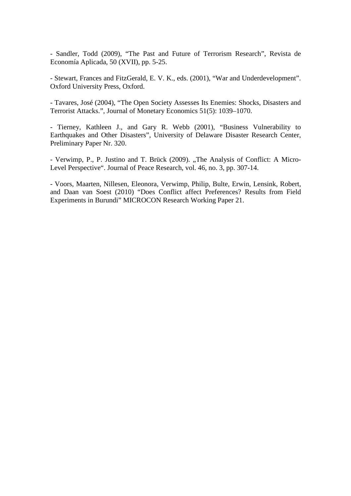- Sandler, Todd (2009), "The Past and Future of Terrorism Research", Revista de Economía Aplicada, 50 (XVII), pp. 5-25.

- Stewart, Frances and FitzGerald, E. V. K., eds. (2001), "War and Underdevelopment". Oxford University Press, Oxford.

- Tavares, José (2004), "The Open Society Assesses Its Enemies: Shocks, Disasters and Terrorist Attacks.", Journal of Monetary Economics 51(5): 1039–1070.

- Tierney, Kathleen J., and Gary R. Webb (2001), "Business Vulnerability to Earthquakes and Other Disasters", University of Delaware Disaster Research Center, Preliminary Paper Nr. 320.

- Verwimp, P., P. Justino and T. Brück (2009). "The Analysis of Conflict: A Micro-Level Perspective". Journal of Peace Research, vol. 46, no. 3, pp. 307-14.

- Voors, Maarten, Nillesen, Eleonora, Verwimp, Philip, Bulte, Erwin, Lensink, Robert, and Daan van Soest (2010) "Does Conflict affect Preferences? Results from Field Experiments in Burundi" MICROCON Research Working Paper 21.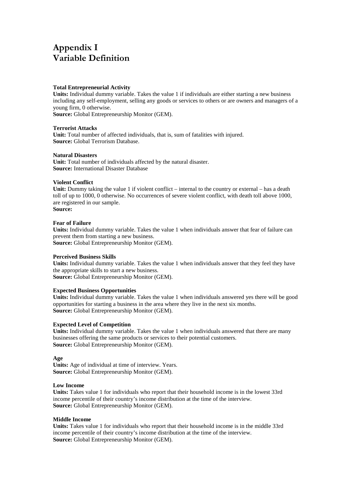# Appendix I Variable Definition

#### **Total Entrepreneurial Activity**

**Units:** Individual dummy variable. Takes the value 1 if individuals are either starting a new business including any self-employment, selling any goods or services to others or are owners and managers of a young firm, 0 otherwise.

**Source:** Global Entrepreneurship Monitor (GEM).

#### **Terrorist Attacks**

**Unit:** Total number of affected individuals, that is, sum of fatalities with injured. **Source:** Global Terrorism Database.

#### **Natural Disasters**

**Unit:** Total number of individuals affected by the natural disaster. **Source:** International Disaster Database

#### **Violent Conflict**

**Unit:** Dummy taking the value 1 if violent conflict – internal to the country or external – has a death toll of up to 1000, 0 otherwise. No occurrences of severe violent conflict, with death toll above 1000, are registered in our sample. **Source:**

#### **Fear of Failure**

**Units:** Individual dummy variable. Takes the value 1 when individuals answer that fear of failure can prevent them from starting a new business. **Source:** Global Entrepreneurship Monitor (GEM).

#### **Perceived Business Skills**

**Units:** Individual dummy variable. Takes the value 1 when individuals answer that they feel they have the appropriate skills to start a new business. **Source:** Global Entrepreneurship Monitor (GEM).

# **Expected Business Opportunities**

**Units:** Individual dummy variable. Takes the value 1 when individuals answered yes there will be good opportunities for starting a business in the area where they live in the next six months. **Source:** Global Entrepreneurship Monitor (GEM).

#### **Expected Level of Competition**

**Units:** Individual dummy variable. Takes the value 1 when individuals answered that there are many businesses offering the same products or services to their potential customers. **Source:** Global Entrepreneurship Monitor (GEM).

#### **Age**

**Units:** Age of individual at time of interview. Years. **Source:** Global Entrepreneurship Monitor (GEM).

#### **Low Income**

**Units:** Takes value 1 for individuals who report that their household income is in the lowest 33rd income percentile of their country's income distribution at the time of the interview. **Source:** Global Entrepreneurship Monitor (GEM).

#### **Middle Income**

**Units:** Takes value 1 for individuals who report that their household income is in the middle 33rd income percentile of their country's income distribution at the time of the interview. **Source:** Global Entrepreneurship Monitor (GEM).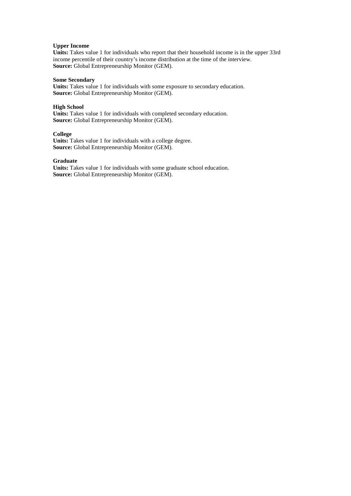#### **Upper Income**

**Units:** Takes value 1 for individuals who report that their household income is in the upper 33rd income percentile of their country's income distribution at the time of the interview. **Source:** Global Entrepreneurship Monitor (GEM).

#### **Some Secondary**

**Units:** Takes value 1 for individuals with some exposure to secondary education. **Source:** Global Entrepreneurship Monitor (GEM).

#### **High School**

**Units:** Takes value 1 for individuals with completed secondary education. **Source:** Global Entrepreneurship Monitor (GEM).

#### **College**

**Units:** Takes value 1 for individuals with a college degree. **Source:** Global Entrepreneurship Monitor (GEM).

#### **Graduate**

**Units:** Takes value 1 for individuals with some graduate school education. **Source:** Global Entrepreneurship Monitor (GEM).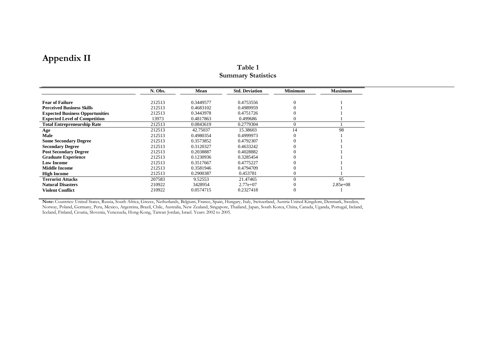# Appendix II

|                                        | N. Obs. | Mean      | <b>Std. Deviation</b> | <b>Minimum</b> | <b>Maximum</b> |
|----------------------------------------|---------|-----------|-----------------------|----------------|----------------|
| <b>Fear of Failure</b>                 | 212513  | 0.3449577 | 0.4753556             | $\Omega$       |                |
| <b>Perceived Business Skills</b>       | 212513  | 0.4683102 | 0.4989959             |                |                |
| <b>Expected Business Opportunities</b> | 212513  | 0.3443978 | 0.4751726             |                |                |
| <b>Expected Level of Competition</b>   | 13973   | 0.4817863 | 0.499686              |                |                |
| <b>Total Entrepreneurship Rate</b>     | 212513  | 0.0843619 | 0.2779304             | $\Omega$       |                |
| Age                                    | 212513  | 42.75037  | 15.38603              | 14             | 98             |
| Male                                   | 212513  | 0.4980354 | 0.4999973             |                |                |
| <b>Some Secondary Degree</b>           | 212513  | 0.3573852 | 0.4792307             |                |                |
| <b>Secondary Degree</b>                | 212513  | 0.3120327 | 0.4633242             |                |                |
| <b>Post Secondary Degree</b>           | 212513  | 0.2038887 | 0.4028882             |                |                |
| <b>Graduate Experience</b>             | 212513  | 0.1230936 | 0.3285454             |                |                |
| <b>Low Income</b>                      | 212513  | 0.3517667 | 0.4775227             |                |                |
| Middle Income                          | 212513  | 0.3581946 | 0.4794709             |                |                |
| <b>High Income</b>                     | 212513  | 0.2900387 | 0.453781              |                |                |
| <b>Terrorist Attacks</b>               | 207583  | 9.52553   | 21.47465              | $\Omega$       | 95             |
| <b>Natural Disasters</b>               | 210922  | 3428954   | $2.77e+07$            |                | $2.85e+0.8$    |
| <b>Violent Conflict</b>                | 210922  | 0.0574715 | 0.2327418             | $\Omega$       |                |

### Table 1Summary Statistics

Note: Countries: United States, Russia, South Africa, Greece, Netherlands, Belgium, France, Spain, Hungary, Italy, Switzerland, Austria United Kingdom, Denmark, Sweden, Norway, Poland, Germany, Peru, Mexico, Argentina, Brazil, Chile, Australia, New Zealand, Singapore, Thailand, Japan, South Korea, China, Canada, Uganda, Portugal, Ireland, Iceland, Finland, Croatia, Slovenia, Venezuela, Hong-Kong, Taiwan Jordan, Israel. Years: 2002 to 2005.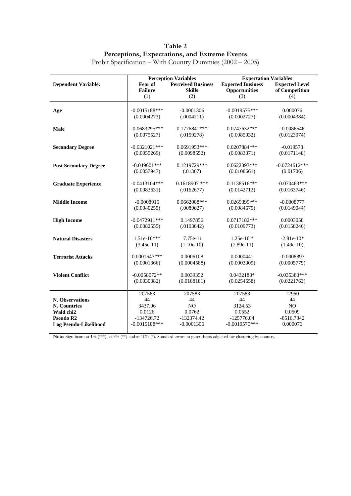Table 2 Perceptions, Expectations, and Extreme Events

|                              |                                      | <b>Perception Variables</b> | <b>Expectation Variables</b> |                       |  |  |
|------------------------------|--------------------------------------|-----------------------------|------------------------------|-----------------------|--|--|
| <b>Dependent Variable:</b>   | <b>Perceived Business</b><br>Fear of |                             | <b>Expected Business</b>     | <b>Expected Level</b> |  |  |
|                              | <b>Failure</b>                       | <b>Skills</b>               | Opportunities                | of Competition        |  |  |
|                              | (1)                                  | (2)                         | (3)                          | (4)                   |  |  |
|                              |                                      |                             |                              |                       |  |  |
| Age                          | $-0.0015188$ ***                     | $-0.0001306$                | $-0.0019575***$              | 0.000076              |  |  |
|                              | (0.0004273)                          | (.0004211)                  | (0.0002727)                  | (0.0004384)           |  |  |
| Male                         | $-0.0683295***$                      | $0.1776841***$              | 0.0747632***                 | $-0.0086546$          |  |  |
|                              | (0.0075527)                          | (.0159278)                  | (0.0085032)                  | (0.0123974)           |  |  |
|                              |                                      |                             |                              |                       |  |  |
| <b>Secondary Degree</b>      | $-0.0321021***$                      | $0.0691953***$              | 0.0207884***                 | $-0.019578$           |  |  |
|                              | (0.0055269)                          | (0.0098552)                 | (0.0083371)                  | (0.0171148)           |  |  |
| <b>Post Secondary Degree</b> | $-0.049601$ ***                      | 0.1219729***                | $0.0622393***$               | $-0.0724612***$       |  |  |
|                              | (0.0057947)                          | (.01307)                    | (0.0108661)                  | (0.01706)             |  |  |
|                              |                                      |                             |                              |                       |  |  |
| <b>Graduate Experience</b>   | $-0.0413104***$                      | $0.1618907$ ***             | $0.1138516***$               | $-0.070463***$        |  |  |
|                              | (0.0083631)                          | (.0162677)                  | (0.0142712)                  | (0.0163746)           |  |  |
|                              |                                      |                             |                              |                       |  |  |
| <b>Middle Income</b>         | $-0.0008915$                         | 0.0662008***                | 0.0269399***                 | $-0.0008777$          |  |  |
|                              | (0.0040255)                          | (.0089627)                  | (0.0084679)                  | (0.0149044)           |  |  |
| <b>High Income</b>           | $-0.0472911***$                      | 0.1497856                   | 0.0717182***                 | 0.0003058             |  |  |
|                              | (0.0082555)                          | (.0103642)                  | (0.0109773)                  | (0.0158246)           |  |  |
|                              |                                      |                             |                              |                       |  |  |
| <b>Natural Disasters</b>     | $1.51e-10***$                        | $7.75e-11$                  | $1.25e-10*$                  | $-2.81e-10*$          |  |  |
|                              | $(3.45e-11)$                         | $(1.10e-10)$                | $(7.89e-11)$                 | $(1.49e-10)$          |  |  |
| <b>Terrorist Attacks</b>     | $0.0001547***$                       | 0.0006108                   | 0.0000441                    | $-0.0008897$          |  |  |
|                              | (0.0001366)                          | (0.0004588)                 | (0.0003009)                  | (0.0005779)           |  |  |
|                              |                                      |                             |                              |                       |  |  |
| <b>Violent Conflict</b>      | $-0.0058072**$                       | 0.0039352                   | 0.0432183*                   | $-0.035383***$        |  |  |
|                              | (0.0030382)                          | (0.0188181)                 | (0.0254658)                  | (0.0221763)           |  |  |
|                              |                                      |                             |                              |                       |  |  |
|                              | 207583                               | 207583                      | 207583                       | 12960                 |  |  |
| N. Observations              | 44                                   | 44                          | 44                           | 44                    |  |  |
| N. Countries                 | 3437.96                              | N <sub>O</sub>              | 3124.53                      | N <sub>O</sub>        |  |  |
| Wald chi2                    | 0.0126                               | 0.0762                      | 0.0552                       | 0.0509                |  |  |
| Pseudo R2                    | $-134726.72$                         | $-132374.42$                | $-125776.04$                 | $-8516.7342$          |  |  |
| Log Pseudo-Likelihood        | $-0.0015188$ ***                     | $-0.0001306$                | $-0.0019575***$              | 0.000076              |  |  |

Probit Specification – With Country Dummies (2002 – 2005)

Note: Significant at 1% (\*\*\*), at 5% (\*\*) and at 10% (\*). Standard errors in parenthesis adjusted for clustering by country.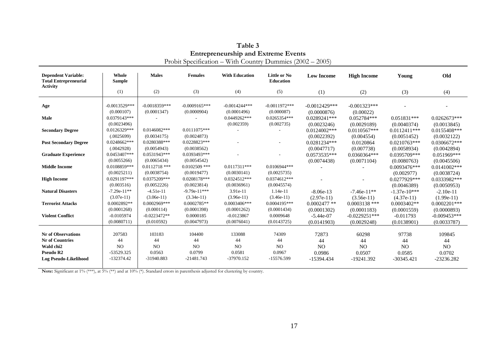| <b>Dependent Variable:</b><br><b>Total Entrepreneurial</b><br><b>Activity</b> | Whole<br><b>Sample</b> | <b>Males</b>    | <b>Females</b>  | <b>With Education</b> | <b>Little or No</b><br>Education | <b>Low Income</b> | <b>High Income</b> | Young          | Old             |
|-------------------------------------------------------------------------------|------------------------|-----------------|-----------------|-----------------------|----------------------------------|-------------------|--------------------|----------------|-----------------|
|                                                                               | (1)                    | (2)             | (3)             | (4)                   | (5)                              | (1)               | (2)                | (3)            | (4)             |
| Age                                                                           | $-0.0013529***$        | $-0.0018359***$ | $-0.0009165***$ | $-0.0014244***$       | $-0.0011972$ ***                 | $-0.0012429$ ***  | $-0.001323***$     |                |                 |
|                                                                               | (0.000107)             | (0.0001347)     | (0.0000904)     | (0.0001496)           | (0.000087)                       | (0.0000876)       | (0.00022)          |                |                 |
| Male                                                                          | $0.0379143***$         |                 |                 | $0.0449262***$        | $0.0265354***$                   | $0.0289241***$    | $0.052784***$      | $0.051831***$  | $0.0262673***$  |
|                                                                               | (0.0023496)            |                 |                 | (0.002359)            | (0.002735)                       | (0.0023246)       | (0.0029189)        | (0.0040374)    | (0.0013845)     |
| <b>Secondary Degree</b>                                                       | $0.0126329***$         | $0.0146082***$  | $0.0111075***$  |                       |                                  | $0.0124002$ ***   | $0.0110567***$     | $0.0112411***$ | $0.0155408***$  |
|                                                                               | (.0025699)             | (0.0034175)     | (0.0024873)     |                       |                                  | (0.0022392)       | (0.004554)         | (0.0051452)    | (0.0032122)     |
| <b>Post Secondary Degree</b>                                                  | $0.0248662***$         | 0.0280388***    | $0.0228823***$  |                       |                                  | $0.0281234***$    | 0.0120864          | $0.0210763***$ | $0.0306672***$  |
|                                                                               | (.0042928)             | (0.0054943)     | (0.0038562)     |                       |                                  | (0.0047717)       | (0.007738)         | (0.0058934)    | (0.0042894)     |
| <b>Graduate Experience</b>                                                    | $0.0453407***$         | $0.0531943***$  | $0.0393493***$  |                       |                                  | $0.0573535***$    | $0.0360364***$     | $0.0395709***$ | $0.051969***$   |
|                                                                               | (0.0055266)            | (0.0065434)     | (0.0054542)     |                       |                                  | (0.0074438)       | (0.0071104)        | (0.0080763)    | (0.0045506)     |
| <b>Middle Income</b>                                                          | 0.0108859***           | $0.0112718$ *** | $0.0102509$ *** | $0.0117311***$        | $0.0106944***$                   |                   |                    | $0.0093476***$ | $0.0141002$ *** |
|                                                                               | (0.0025211)            | (0.0038754)     | (0.0019477)     | (0.0030141)           | (0.0025735)                      |                   |                    | (0.002977)     | (0.0038724)     |
| <b>High Income</b>                                                            | $0.0291197***$         | 0.0375209***    | $0.0208178***$  | $0.0324512***$        | $0.0374612***$                   |                   |                    | $0.0277929***$ | 0.0333982***    |
|                                                                               | (0.003516)             | (0.0052226)     | (0.0023814)     | (0.0036961)           | (0.0045574)                      |                   |                    | (0.0046389)    | (0.0050953)     |
| <b>Natural Disasters</b>                                                      | $-7.29e-11**$          | $-4.51e-11$     | $-9.79e-11***$  | 3.91e-11              | $1.14e-11$                       | $-8.06e-13$       | $-7.46e-11**$      | $-1.37e-10***$ | $-2.10e-11$     |
|                                                                               | $(3.07e-11)$           | $(3.06e-11)$    | $(3.34e-11)$    | $(3.96e-11)$          | $(3.46e-11)$                     | $(2.97e-11)$      | $(3.56e-11)$       | $(4.37e-11)$   | $(1.99e-11)$    |
| <b>Terrorist Attacks</b>                                                      | 0.0002892**            | $0.0002969***$  | $0.0002785**$   | 0.0003406***          | $0.0004195***$                   | $0.0002477$ **    | $0.0003138$ ***    | $0.0003402**$  | $0.0002201***$  |
|                                                                               | (0.0001268)            | (0.000114)      | (0.0001398)     | (0.0001262)           | (0.0001434)                      | (0.0001302)       | (0.0001183)        | (0.0001559)    | (0.0000893)     |
| <b>Violent Conflict</b>                                                       | $-0.0105974$           | $-0.0223472**$  | 0.0000185       | $-0.0123867$          | 0.0009648                        | $-5.44e-07$       | $-0.0229251***$    | $-0.011793$    | $-0.009453***$  |
|                                                                               | (0.0080711)            | (0.010592)      | (0.0047973)     | (0.0076041)           | (0.0143725)                      | (0.0141903)       | (0.0029248)        | (0.0138901)    | (0.0033787)     |
|                                                                               |                        |                 |                 |                       |                                  |                   |                    |                |                 |
| <b>Nr</b> of Observations                                                     | 207583                 | 103183          | 104400          | 133088                | 74309                            | 72873             | 60298              | 97738          | 109845          |
| <b>Nr</b> of Countries                                                        | 44                     | 44              | 44              | 44                    | 44                               | 44                | 44                 | 44             | 44              |
| Wald chi2                                                                     | NO.                    | N <sub>O</sub>  | NO.             | N <sub>O</sub>        | NO                               | N <sub>O</sub>    | N <sub>O</sub>     | N <sub>O</sub> | N <sub>O</sub>  |
| Pseudo R <sub>2</sub>                                                         | -53529.325             | 0.0563          | 0.0799          | 0.0581                | 0.0967                           | 0.0986            | 0.0507             | 0.0585         | 0.0702          |
| Log Pseudo-Likelihood                                                         | $-132374.42$           | -31940.883      | $-21481.743$    | $-37970.152$          | -15576.599                       | -15394.434        | -19241.392         | $-30345.421$   | $-23236.282$    |
|                                                                               |                        |                 |                 |                       |                                  |                   |                    |                |                 |

| Table 3                                                   |
|-----------------------------------------------------------|
| <b>Entrepreneurship and Extreme Events</b>                |
| Probit Specification – With Country Dummies (2002 – 2005) |

Note: Significant at 1% (\*\*\*), at  $5\%$  (\*\*) and at 10% (\*). Standard errors in parenthesis adjusted for clustering by country.